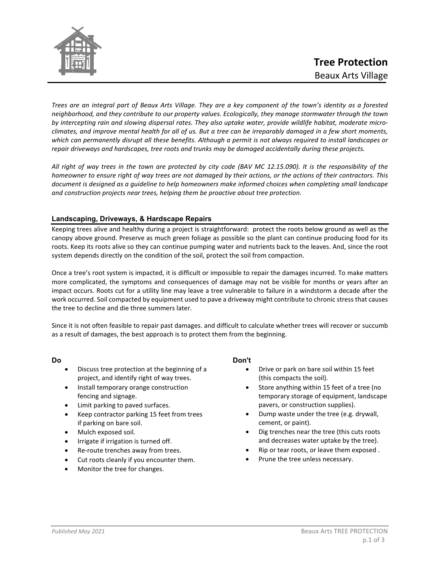

*Trees are an integral part of Beaux Arts Village. They are a key component of the town's identity as a forested neighborhood, and they contribute to our property values. Ecologically, they manage stormwater through the town by intercepting rain and slowing dispersal rates. They also uptake water, provide wildlife habitat, moderate microclimates, and improve mental health for all of us. But a tree can be irreparably damaged in a few short moments, which can permanently disrupt all these benefits. Although a permit is not always required to install landscapes or repair driveways and hardscapes, tree roots and trunks may be damaged accidentally during these projects.* 

*All right of way trees in the town are protected by city code (BAV MC 12.15.090). It is the responsibility of the homeowner to ensure right of way trees are not damaged by their actions, or the actions of their contractors. This document is designed as a guideline to help homeowners make informed choices when completing small landscape and construction projects near trees, helping them be proactive about tree protection.* 

## **Landscaping, Driveways, & Hardscape Repairs**

Keeping trees alive and healthy during a project is straightforward: protect the roots below ground as well as the canopy above ground. Preserve as much green foliage as possible so the plant can continue producing food for its roots. Keep its roots alive so they can continue pumping water and nutrients back to the leaves. And, since the root system depends directly on the condition of the soil, protect the soil from compaction.

Once a tree's root system is impacted, it is difficult or impossible to repair the damages incurred. To make matters more complicated, the symptoms and consequences of damage may not be visible for months or years after an impact occurs. Roots cut for a utility line may leave a tree vulnerable to failure in a windstorm a decade after the work occurred. Soil compacted by equipment used to pave a driveway might contribute to chronic stress that causes the tree to decline and die three summers later.

Since it is not often feasible to repair past damages. and difficult to calculate whether trees will recover or succumb as a result of damages, the best approach is to protect them from the beginning.

#### **Do**

- Discuss tree protection at the beginning of a project, and identify right of way trees.
- Install temporary orange construction fencing and signage.
- Limit parking to paved surfaces.
- Keep contractor parking 15 feet from trees if parking on bare soil.
- Mulch exposed soil.
- Irrigate if irrigation is turned off.
- Re-route trenches away from trees.
- Cut roots cleanly if you encounter them.
- Monitor the tree for changes.

## **Don't**

- Drive or park on bare soil within 15 feet (this compacts the soil).
- Store anything within 15 feet of a tree (no temporary storage of equipment, landscape pavers, or construction supplies).
- Dump waste under the tree (e.g. drywall, cement, or paint).
- Dig trenches near the tree (this cuts roots and decreases water uptake by the tree).
- Rip or tear roots, or leave them exposed .
- Prune the tree unless necessary.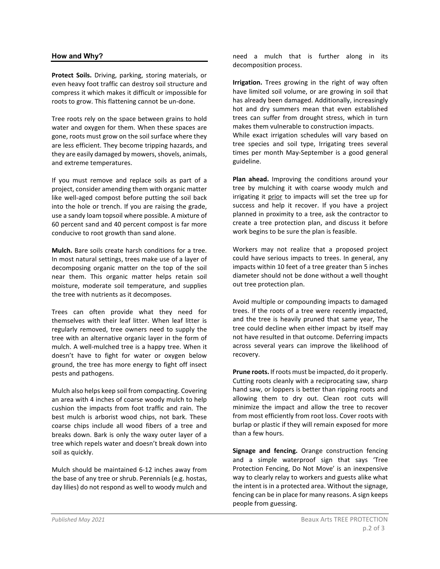#### **How and Why?**

**Protect Soils.** Driving, parking, storing materials, or even heavy foot traffic can destroy soil structure and compress it which makes it difficult or impossible for roots to grow. This flattening cannot be un-done.

Tree roots rely on the space between grains to hold water and oxygen for them. When these spaces are gone, roots must grow on the soil surface where they are less efficient. They become tripping hazards, and they are easily damaged by mowers, shovels, animals, and extreme temperatures.

If you must remove and replace soils as part of a project, consider amending them with organic matter like well-aged compost before putting the soil back into the hole or trench. If you are raising the grade, use a sandy loam topsoil where possible. A mixture of 60 percent sand and 40 percent compost is far more conducive to root growth than sand alone.

**Mulch.** Bare soils create harsh conditions for a tree. In most natural settings, trees make use of a layer of decomposing organic matter on the top of the soil near them. This organic matter helps retain soil moisture, moderate soil temperature, and supplies the tree with nutrients as it decomposes.

Trees can often provide what they need for themselves with their leaf litter. When leaf litter is regularly removed, tree owners need to supply the tree with an alternative organic layer in the form of mulch. A well-mulched tree is a happy tree. When it doesn't have to fight for water or oxygen below ground, the tree has more energy to fight off insect pests and pathogens.

Mulch also helps keep soil from compacting. Covering an area with 4 inches of coarse woody mulch to help cushion the impacts from foot traffic and rain. The best mulch is arborist wood chips, not bark. These coarse chips include all wood fibers of a tree and breaks down. Bark is only the waxy outer layer of a tree which repels water and doesn't break down into soil as quickly.

Mulch should be maintained 6-12 inches away from the base of any tree or shrub. Perennials (e.g. hostas, day lilies) do not respond as well to woody mulch and need a mulch that is further along in its decomposition process.

**Irrigation.** Trees growing in the right of way often have limited soil volume, or are growing in soil that has already been damaged. Additionally, increasingly hot and dry summers mean that even established trees can suffer from drought stress, which in turn makes them vulnerable to construction impacts. While exact irrigation schedules will vary based on

tree species and soil type, Irrigating trees several times per month May-September is a good general guideline.

**Plan ahead.** Improving the conditions around your tree by mulching it with coarse woody mulch and irrigating it prior to impacts will set the tree up for success and help it recover. If you have a project planned in proximity to a tree, ask the contractor to create a tree protection plan, and discuss it before work begins to be sure the plan is feasible.

Workers may not realize that a proposed project could have serious impacts to trees. In general, any impacts within 10 feet of a tree greater than 5 inches diameter should not be done without a well thought out tree protection plan.

Avoid multiple or compounding impacts to damaged trees. If the roots of a tree were recently impacted, and the tree is heavily pruned that same year, The tree could decline when either impact by itself may not have resulted in that outcome. Deferring impacts across several years can improve the likelihood of recovery.

**Prune roots.** If roots must be impacted, do it properly. Cutting roots cleanly with a reciprocating saw, sharp hand saw, or loppers is better than ripping roots and allowing them to dry out. Clean root cuts will minimize the impact and allow the tree to recover from most efficiently from root loss. Cover roots with burlap or plastic if they will remain exposed for more than a few hours.

**Signage and fencing.** Orange construction fencing and a simple waterproof sign that says 'Tree Protection Fencing, Do Not Move' is an inexpensive way to clearly relay to workers and guests alike what the intent is in a protected area. Without the signage, fencing can be in place for many reasons. A sign keeps people from guessing.